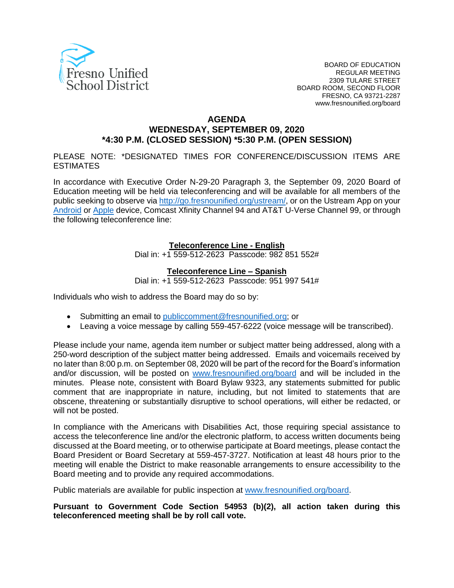

#### **AGENDA**

## **WEDNESDAY, SEPTEMBER 09, 2020 \*4:30 P.M. (CLOSED SESSION) \*5:30 P.M. (OPEN SESSION)**

PLEASE NOTE: \*DESIGNATED TIMES FOR CONFERENCE/DISCUSSION ITEMS ARE **ESTIMATES** 

In accordance with Executive Order N-29-20 Paragraph 3, the September 09, 2020 Board of Education meeting will be held via teleconferencing and will be available for all members of the public seeking to observe via <http://go.fresnounified.org/ustream/>, or on the Ustream App on your [Android](https://play.google.com/store/apps/details?id=tv.ustream.ustream&hl=en_US) or [Apple](https://itunes.apple.com/us/app/ustream/id301520250?mt=8) device, Comcast Xfinity Channel 94 and AT&T U-Verse Channel 99, or through the following teleconference line:

#### **Teleconference Line - English**

Dial in: +1 559-512-2623 Passcode: 982 851 552#

#### **Teleconference Line – Spanish**

Dial in: +1 559-512-2623 Passcode: 951 997 541#

Individuals who wish to address the Board may do so by:

- Submitting an email to *[publiccomment@fresnounified.org](mailto:publiccomment@fresnounified.org)*; or
- Leaving a voice message by calling 559-457-6222 (voice message will be transcribed).

Please include your name, agenda item number or subject matter being addressed, along with a 250-word description of the subject matter being addressed. Emails and voicemails received by no later than 8:00 p.m. on September 08, 2020 will be part of the record for the Board's information and/or discussion, will be posted on *[www.fresnounified.org/board](http://www.fresnounified.org/board)* and will be included in the minutes. Please note, consistent with Board Bylaw 9323, any statements submitted for public comment that are inappropriate in nature, including, but not limited to statements that are obscene, threatening or substantially disruptive to school operations, will either be redacted, or will not be posted.

In compliance with the Americans with Disabilities Act, those requiring special assistance to access the teleconference line and/or the electronic platform, to access written documents being discussed at the Board meeting, or to otherwise participate at Board meetings, please contact the Board President or Board Secretary at 559-457-3727. Notification at least 48 hours prior to the meeting will enable the District to make reasonable arrangements to ensure accessibility to the Board meeting and to provide any required accommodations.

Public materials are available for public inspection at [www.fresnounified.org/board](http://www.fresnounified.org/board).

**Pursuant to Government Code Section 54953 (b)(2), all action taken during this teleconferenced meeting shall be by roll call vote.**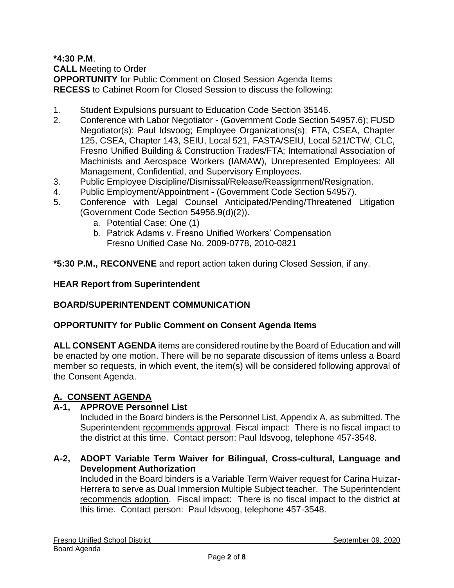**\*4:30 P.M**.

**CALL** Meeting to Order

**OPPORTUNITY** for Public Comment on Closed Session Agenda Items **RECESS** to Cabinet Room for Closed Session to discuss the following:

- 1. Student Expulsions pursuant to Education Code Section 35146.
- 2. Conference with Labor Negotiator (Government Code Section 54957.6); FUSD Negotiator(s): Paul Idsvoog; Employee Organizations(s): FTA, CSEA, Chapter 125, CSEA, Chapter 143, SEIU, Local 521, FASTA/SEIU, Local 521/CTW, CLC, Fresno Unified Building & Construction Trades/FTA; International Association of Machinists and Aerospace Workers (IAMAW), Unrepresented Employees: All Management, Confidential, and Supervisory Employees.
- 3. Public Employee Discipline/Dismissal/Release/Reassignment/Resignation.
- 4. Public Employment/Appointment (Government Code Section 54957).
- 5. Conference with Legal Counsel Anticipated/Pending/Threatened Litigation (Government Code Section 54956.9(d)(2)).
	- a. Potential Case: One (1)
	- b. Patrick Adams v. Fresno Unified Workers' Compensation Fresno Unified Case No. 2009-0778, 2010-0821

**\*5:30 P.M., RECONVENE** and report action taken during Closed Session, if any.

# **HEAR Report from Superintendent**

# **BOARD/SUPERINTENDENT COMMUNICATION**

# **OPPORTUNITY for Public Comment on Consent Agenda Items**

**ALL CONSENT AGENDA** items are considered routine by the Board of Education and will be enacted by one motion. There will be no separate discussion of items unless a Board member so requests, in which event, the item(s) will be considered following approval of the Consent Agenda.

# **A. CONSENT AGENDA**

# **A-1, APPROVE Personnel List**

Included in the Board binders is the Personnel List, Appendix A, as submitted. The Superintendent recommends approval. Fiscal impact: There is no fiscal impact to the district at this time. Contact person: Paul Idsvoog, telephone 457-3548.

## **A-2, ADOPT Variable Term Waiver for Bilingual, Cross-cultural, Language and Development Authorization**

Included in the Board binders is a Variable Term Waiver request for Carina Huizar-Herrera to serve as Dual Immersion Multiple Subject teacher. The Superintendent recommends adoption. Fiscal impact: There is no fiscal impact to the district at this time. Contact person: Paul Idsvoog, telephone 457-3548.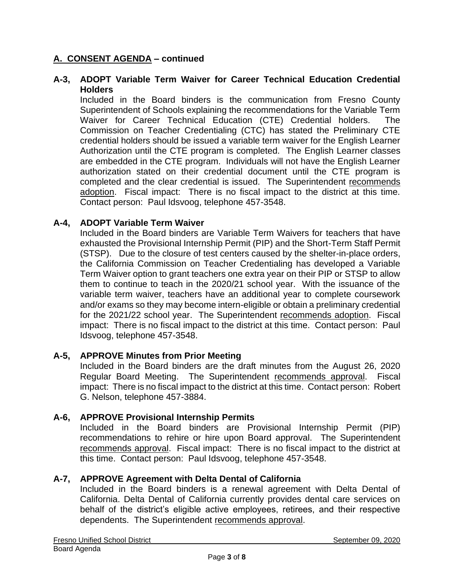## **A-3, ADOPT Variable Term Waiver for Career Technical Education Credential Holders**

Included in the Board binders is the communication from Fresno County Superintendent of Schools explaining the recommendations for the Variable Term Waiver for Career Technical Education (CTE) Credential holders. The Commission on Teacher Credentialing (CTC) has stated the Preliminary CTE credential holders should be issued a variable term waiver for the English Learner Authorization until the CTE program is completed. The English Learner classes are embedded in the CTE program. Individuals will not have the English Learner authorization stated on their credential document until the CTE program is completed and the clear credential is issued. The Superintendent recommends adoption. Fiscal impact: There is no fiscal impact to the district at this time. Contact person: Paul Idsvoog, telephone 457-3548.

## **A-4, ADOPT Variable Term Waiver**

Included in the Board binders are Variable Term Waivers for teachers that have exhausted the Provisional Internship Permit (PIP) and the Short-Term Staff Permit (STSP). Due to the closure of test centers caused by the shelter-in-place orders, the California Commission on Teacher Credentialing has developed a Variable Term Waiver option to grant teachers one extra year on their PIP or STSP to allow them to continue to teach in the 2020/21 school year. With the issuance of the variable term waiver, teachers have an additional year to complete coursework and/or exams so they may become intern-eligible or obtain a preliminary credential for the 2021/22 school year. The Superintendent recommends adoption. Fiscal impact: There is no fiscal impact to the district at this time. Contact person: Paul Idsvoog, telephone 457-3548.

## **A-5, APPROVE Minutes from Prior Meeting**

Included in the Board binders are the draft minutes from the August 26, 2020 Regular Board Meeting. The Superintendent recommends approval. Fiscal impact: There is no fiscal impact to the district at this time. Contact person: Robert G. Nelson, telephone 457-3884.

## **A-6, APPROVE Provisional Internship Permits**

Included in the Board binders are Provisional Internship Permit (PIP) recommendations to rehire or hire upon Board approval. The Superintendent recommends approval. Fiscal impact: There is no fiscal impact to the district at this time. Contact person: Paul Idsvoog, telephone 457-3548.

## **A-7, APPROVE Agreement with Delta Dental of California**

Included in the Board binders is a renewal agreement with Delta Dental of California. Delta Dental of California currently provides dental care services on behalf of the district's eligible active employees, retirees, and their respective dependents. The Superintendent recommends approval.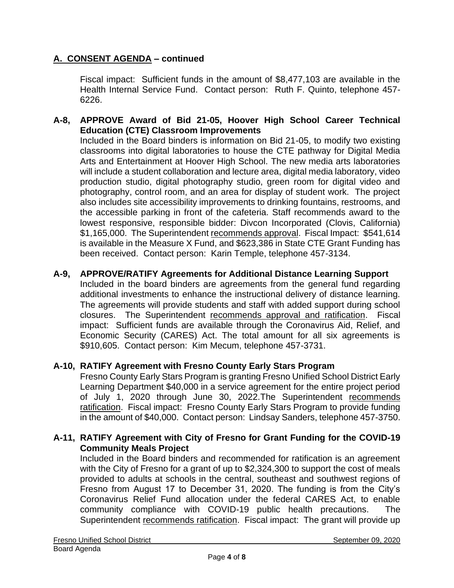Fiscal impact: Sufficient funds in the amount of \$8,477,103 are available in the Health Internal Service Fund. Contact person: Ruth F. Quinto, telephone 457- 6226.

# **A-8, APPROVE Award of Bid 21-05, Hoover High School Career Technical Education (CTE) Classroom Improvements**

Included in the Board binders is information on Bid 21-05, to modify two existing classrooms into digital laboratories to house the CTE pathway for Digital Media Arts and Entertainment at Hoover High School. The new media arts laboratories will include a student collaboration and lecture area, digital media laboratory, video production studio, digital photography studio, green room for digital video and photography, control room, and an area for display of student work. The project also includes site accessibility improvements to drinking fountains, restrooms, and the accessible parking in front of the cafeteria. Staff recommends award to the lowest responsive, responsible bidder: Divcon Incorporated (Clovis, California) \$1,165,000. The Superintendent recommends approval. Fiscal Impact: \$541,614 is available in the Measure X Fund, and \$623,386 in State CTE Grant Funding has been received. Contact person: Karin Temple, telephone 457-3134.

## **A-9, APPROVE/RATIFY Agreements for Additional Distance Learning Support**

Included in the board binders are agreements from the general fund regarding additional investments to enhance the instructional delivery of distance learning. The agreements will provide students and staff with added support during school closures. The Superintendent recommends approval and ratification. Fiscal impact: Sufficient funds are available through the Coronavirus Aid, Relief, and Economic Security (CARES) Act. The total amount for all six agreements is \$910,605. Contact person: Kim Mecum, telephone 457-3731.

# **A-10, RATIFY Agreement with Fresno County Early Stars Program**

Fresno County Early Stars Program is granting Fresno Unified School District Early Learning Department \$40,000 in a service agreement for the entire project period of July 1, 2020 through June 30, 2022.The Superintendent recommends ratification. Fiscal impact: Fresno County Early Stars Program to provide funding in the amount of \$40,000. Contact person: Lindsay Sanders, telephone 457-3750.

## **A-11, RATIFY Agreement with City of Fresno for Grant Funding for the COVID-19 Community Meals Project**

Included in the Board binders and recommended for ratification is an agreement with the City of Fresno for a grant of up to \$2,324,300 to support the cost of meals provided to adults at schools in the central, southeast and southwest regions of Fresno from August 17 to December 31, 2020. The funding is from the City's Coronavirus Relief Fund allocation under the federal CARES Act, to enable community compliance with COVID-19 public health precautions. The Superintendent recommends ratification. Fiscal impact: The grant will provide up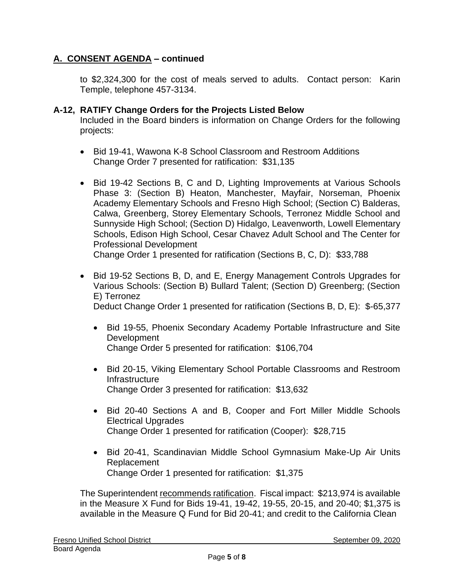to \$2,324,300 for the cost of meals served to adults. Contact person: Karin Temple, telephone 457-3134.

## **A-12, RATIFY Change Orders for the Projects Listed Below**

Included in the Board binders is information on Change Orders for the following projects:

- Bid 19-41, Wawona K-8 School Classroom and Restroom Additions Change Order 7 presented for ratification: \$31,135
- Bid 19-42 Sections B, C and D, Lighting Improvements at Various Schools Phase 3: (Section B) Heaton, Manchester, Mayfair, Norseman, Phoenix Academy Elementary Schools and Fresno High School; (Section C) Balderas, Calwa, Greenberg, Storey Elementary Schools, Terronez Middle School and Sunnyside High School; (Section D) Hidalgo, Leavenworth, Lowell Elementary Schools, Edison High School, Cesar Chavez Adult School and The Center for Professional Development

Change Order 1 presented for ratification (Sections B, C, D): \$33,788

- Bid 19-52 Sections B, D, and E, Energy Management Controls Upgrades for Various Schools: (Section B) Bullard Talent; (Section D) Greenberg; (Section E) Terronez Deduct Change Order 1 presented for ratification (Sections B, D, E): \$-65,377
	- Bid 19-55, Phoenix Secondary Academy Portable Infrastructure and Site **Development**

Change Order 5 presented for ratification: \$106,704

- Bid 20-15, Viking Elementary School Portable Classrooms and Restroom Infrastructure Change Order 3 presented for ratification: \$13,632
- Bid 20-40 Sections A and B, Cooper and Fort Miller Middle Schools Electrical Upgrades Change Order 1 presented for ratification (Cooper): \$28,715
- Bid 20-41, Scandinavian Middle School Gymnasium Make-Up Air Units Replacement Change Order 1 presented for ratification: \$1,375

The Superintendent recommends ratification. Fiscal impact: \$213,974 is available in the Measure X Fund for Bids 19-41, 19-42, 19-55, 20-15, and 20-40; \$1,375 is available in the Measure Q Fund for Bid 20-41; and credit to the California Clean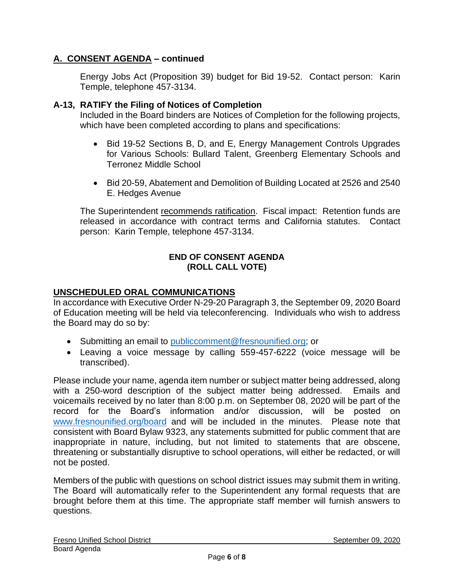Energy Jobs Act (Proposition 39) budget for Bid 19-52. Contact person: Karin Temple, telephone 457-3134.

# **A-13, RATIFY the Filing of Notices of Completion**

Included in the Board binders are Notices of Completion for the following projects, which have been completed according to plans and specifications:

- Bid 19-52 Sections B, D, and E, Energy Management Controls Upgrades for Various Schools: Bullard Talent, Greenberg Elementary Schools and Terronez Middle School
- Bid 20-59, Abatement and Demolition of Building Located at 2526 and 2540 E. Hedges Avenue

The Superintendent recommends ratification. Fiscal impact: Retention funds are released in accordance with contract terms and California statutes. Contact person: Karin Temple, telephone 457-3134.

#### **END OF CONSENT AGENDA (ROLL CALL VOTE)**

# **UNSCHEDULED ORAL COMMUNICATIONS**

In accordance with Executive Order N-29-20 Paragraph 3, the September 09, 2020 Board of Education meeting will be held via teleconferencing. Individuals who wish to address the Board may do so by:

- Submitting an email to *[publiccomment@fresnounified.org](mailto:publiccomment@fresnounified.org)*; or
- Leaving a voice message by calling 559-457-6222 (voice message will be transcribed).

Please include your name, agenda item number or subject matter being addressed, along with a 250-word description of the subject matter being addressed. Emails and voicemails received by no later than 8:00 p.m. on September 08, 2020 will be part of the record for the Board's information and/or discussion, will be posted on [www.fresnounified.org/board](http://www.fresnounified.org/board) and will be included in the minutes. Please note that consistent with Board Bylaw 9323, any statements submitted for public comment that are inappropriate in nature, including, but not limited to statements that are obscene, threatening or substantially disruptive to school operations, will either be redacted, or will not be posted.

Members of the public with questions on school district issues may submit them in writing. The Board will automatically refer to the Superintendent any formal requests that are brought before them at this time. The appropriate staff member will furnish answers to questions.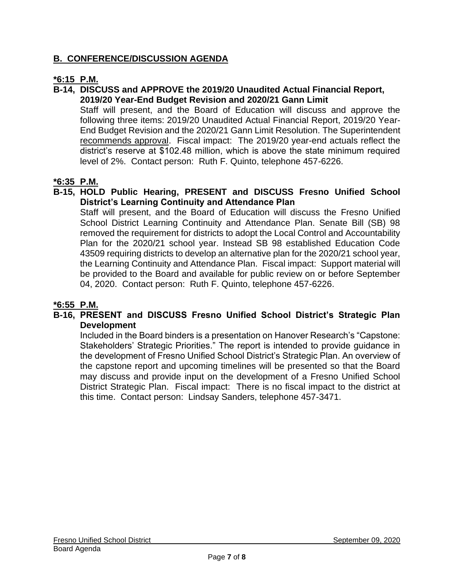# **B. CONFERENCE/DISCUSSION AGENDA**

# **\*6:15 P.M.**

## **B-14, DISCUSS and APPROVE the 2019/20 Unaudited Actual Financial Report, 2019/20 Year-End Budget Revision and 2020/21 Gann Limit**

Staff will present, and the Board of Education will discuss and approve the following three items: 2019/20 Unaudited Actual Financial Report, 2019/20 Year-End Budget Revision and the 2020/21 Gann Limit Resolution. The Superintendent recommends approval. Fiscal impact: The 2019/20 year-end actuals reflect the district's reserve at \$102.48 million, which is above the state minimum required level of 2%. Contact person: Ruth F. Quinto, telephone 457-6226.

# **\*6:35 P.M.**

## **B-15, HOLD Public Hearing, PRESENT and DISCUSS Fresno Unified School District's Learning Continuity and Attendance Plan**

Staff will present, and the Board of Education will discuss the Fresno Unified School District Learning Continuity and Attendance Plan. Senate Bill (SB) 98 removed the requirement for districts to adopt the Local Control and Accountability Plan for the 2020/21 school year. Instead SB 98 established Education Code 43509 requiring districts to develop an alternative plan for the 2020/21 school year, the Learning Continuity and Attendance Plan. Fiscal impact: Support material will be provided to the Board and available for public review on or before September 04, 2020. Contact person: Ruth F. Quinto, telephone 457-6226.

## **\*6:55 P.M.**

# **B-16, PRESENT and DISCUSS Fresno Unified School District's Strategic Plan Development**

Included in the Board binders is a presentation on Hanover Research's "Capstone: Stakeholders' Strategic Priorities." The report is intended to provide guidance in the development of Fresno Unified School District's Strategic Plan. An overview of the capstone report and upcoming timelines will be presented so that the Board may discuss and provide input on the development of a Fresno Unified School District Strategic Plan. Fiscal impact: There is no fiscal impact to the district at this time. Contact person: Lindsay Sanders, telephone 457-3471.